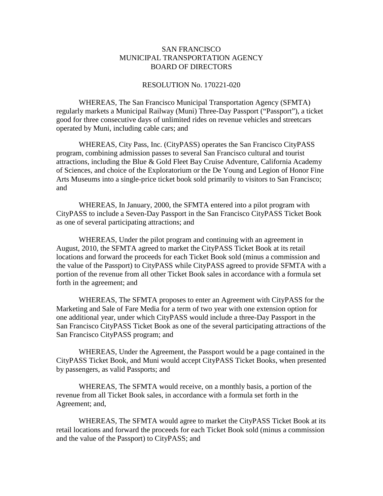## SAN FRANCISCO MUNICIPAL TRANSPORTATION AGENCY BOARD OF DIRECTORS

## RESOLUTION No. 170221-020

WHEREAS, The San Francisco Municipal Transportation Agency (SFMTA) regularly markets a Municipal Railway (Muni) Three-Day Passport ("Passport"), a ticket good for three consecutive days of unlimited rides on revenue vehicles and streetcars operated by Muni, including cable cars; and

WHEREAS, City Pass, Inc. (CityPASS) operates the San Francisco CityPASS program, combining admission passes to several San Francisco cultural and tourist attractions, including the Blue & Gold Fleet Bay Cruise Adventure, California Academy of Sciences, and choice of the Exploratorium or the De Young and Legion of Honor Fine Arts Museums into a single-price ticket book sold primarily to visitors to San Francisco; and

WHEREAS, In January, 2000, the SFMTA entered into a pilot program with CityPASS to include a Seven-Day Passport in the San Francisco CityPASS Ticket Book as one of several participating attractions; and

WHEREAS, Under the pilot program and continuing with an agreement in August, 2010, the SFMTA agreed to market the CityPASS Ticket Book at its retail locations and forward the proceeds for each Ticket Book sold (minus a commission and the value of the Passport) to CityPASS while CityPASS agreed to provide SFMTA with a portion of the revenue from all other Ticket Book sales in accordance with a formula set forth in the agreement; and

WHEREAS, The SFMTA proposes to enter an Agreement with CityPASS for the Marketing and Sale of Fare Media for a term of two year with one extension option for one additional year, under which CityPASS would include a three-Day Passport in the San Francisco CityPASS Ticket Book as one of the several participating attractions of the San Francisco CityPASS program; and

WHEREAS, Under the Agreement, the Passport would be a page contained in the CityPASS Ticket Book, and Muni would accept CityPASS Ticket Books, when presented by passengers, as valid Passports; and

WHEREAS, The SFMTA would receive, on a monthly basis, a portion of the revenue from all Ticket Book sales, in accordance with a formula set forth in the Agreement; and,

WHEREAS, The SFMTA would agree to market the CityPASS Ticket Book at its retail locations and forward the proceeds for each Ticket Book sold (minus a commission and the value of the Passport) to CityPASS; and